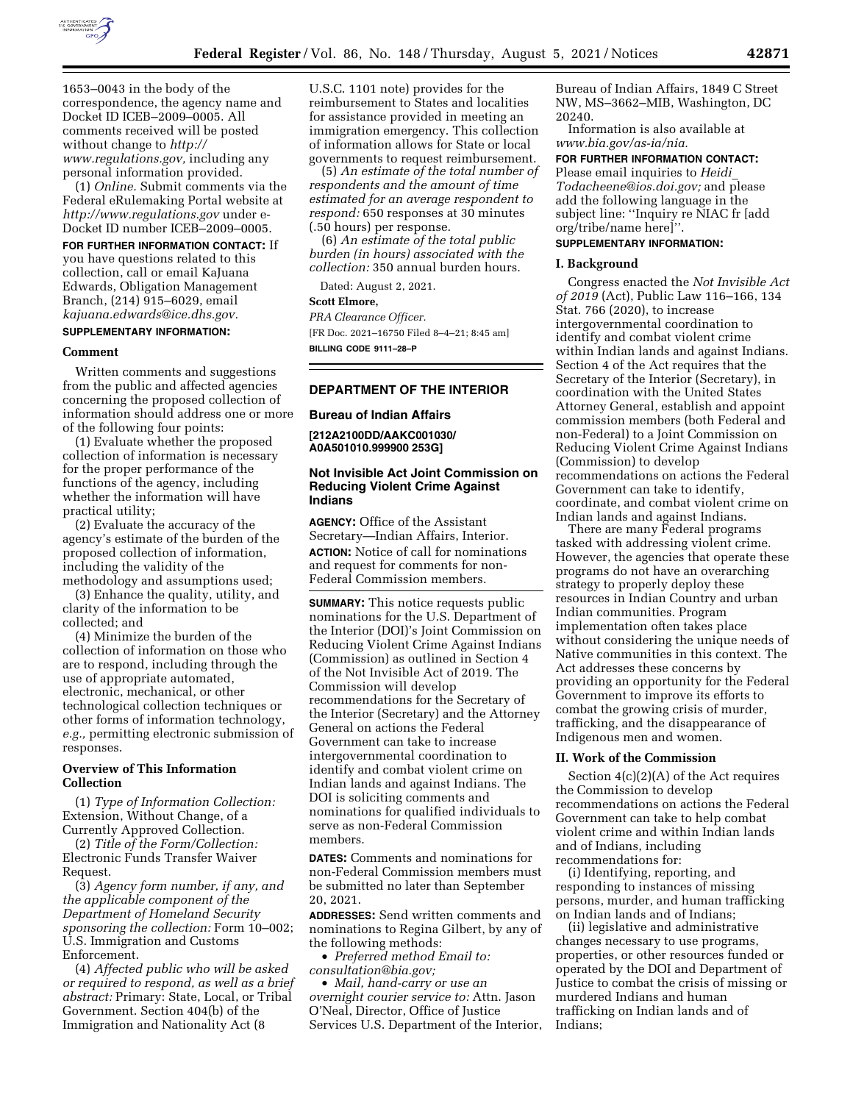

1653–0043 in the body of the correspondence, the agency name and Docket ID ICEB–2009–0005. All comments received will be posted without change to *[http://](http://www.regulations.gov) [www.regulations.gov,](http://www.regulations.gov)* including any personal information provided.

(1) *Online.* Submit comments via the Federal eRulemaking Portal website at *<http://www.regulations.gov>* under e-Docket ID number ICEB–2009–0005.

### **FOR FURTHER INFORMATION CONTACT:** If

you have questions related to this collection, call or email KaJuana Edwards, Obligation Management Branch, (214) 915–6029, email *[kajuana.edwards@ice.dhs.gov.](mailto:kajuana.edwards@ice.dhs.gov)* 

# **SUPPLEMENTARY INFORMATION:**

#### **Comment**

Written comments and suggestions from the public and affected agencies concerning the proposed collection of information should address one or more of the following four points:

(1) Evaluate whether the proposed collection of information is necessary for the proper performance of the functions of the agency, including whether the information will have practical utility;

(2) Evaluate the accuracy of the agency's estimate of the burden of the proposed collection of information, including the validity of the methodology and assumptions used;

(3) Enhance the quality, utility, and clarity of the information to be collected; and

(4) Minimize the burden of the collection of information on those who are to respond, including through the use of appropriate automated, electronic, mechanical, or other technological collection techniques or other forms of information technology, *e.g.,* permitting electronic submission of responses.

# **Overview of This Information Collection**

(1) *Type of Information Collection:*  Extension, Without Change, of a Currently Approved Collection.

(2) *Title of the Form/Collection:*  Electronic Funds Transfer Waiver Request.

(3) *Agency form number, if any, and the applicable component of the Department of Homeland Security sponsoring the collection:* Form 10–002; U.S. Immigration and Customs Enforcement.

(4) *Affected public who will be asked or required to respond, as well as a brief abstract:* Primary: State, Local, or Tribal Government. Section 404(b) of the Immigration and Nationality Act (8

U.S.C. 1101 note) provides for the reimbursement to States and localities for assistance provided in meeting an immigration emergency. This collection of information allows for State or local governments to request reimbursement.

(5) *An estimate of the total number of respondents and the amount of time estimated for an average respondent to respond:* 650 responses at 30 minutes (.50 hours) per response.

(6) *An estimate of the total public burden (in hours) associated with the collection:* 350 annual burden hours.

Dated: August 2, 2021.

#### **Scott Elmore,**

*PRA Clearance Officer.*  [FR Doc. 2021–16750 Filed 8–4–21; 8:45 am] **BILLING CODE 9111–28–P** 

# **DEPARTMENT OF THE INTERIOR**

#### **Bureau of Indian Affairs**

**[212A2100DD/AAKC001030/ A0A501010.999900 253G]** 

# **Not Invisible Act Joint Commission on Reducing Violent Crime Against Indians**

**AGENCY:** Office of the Assistant Secretary—Indian Affairs, Interior. **ACTION:** Notice of call for nominations and request for comments for non-Federal Commission members.

**SUMMARY:** This notice requests public nominations for the U.S. Department of the Interior (DOI)'s Joint Commission on Reducing Violent Crime Against Indians (Commission) as outlined in Section 4 of the Not Invisible Act of 2019. The Commission will develop recommendations for the Secretary of the Interior (Secretary) and the Attorney General on actions the Federal Government can take to increase intergovernmental coordination to identify and combat violent crime on Indian lands and against Indians. The DOI is soliciting comments and nominations for qualified individuals to serve as non-Federal Commission members.

**DATES:** Comments and nominations for non-Federal Commission members must be submitted no later than September 20, 2021.

**ADDRESSES:** Send written comments and nominations to Regina Gilbert, by any of the following methods:

• *Preferred method Email to: [consultation@bia.gov;](mailto:consultation@bia.gov)* 

• *Mail, hand-carry or use an overnight courier service to:* Attn. Jason O'Neal, Director, Office of Justice Services U.S. Department of the Interior, Bureau of Indian Affairs, 1849 C Street NW, MS–3662–MIB, Washington, DC 20240.

Information is also available at *[www.bia.gov/as-ia/nia.](http://www.bia.gov/as-ia/nia)* 

# **FOR FURTHER INFORMATION CONTACT:**

Please email inquiries to *[Heidi](mailto:Heidi_Todacheene@ios.doi.gov)*\_ *[Todacheene@ios.doi.gov;](mailto:Heidi_Todacheene@ios.doi.gov)* and please add the following language in the subject line: ''Inquiry re NIAC fr [add org/tribe/name here]''.

# **SUPPLEMENTARY INFORMATION:**

### **I. Background**

Congress enacted the *Not Invisible Act of 2019* (Act), Public Law 116–166, 134 Stat. 766 (2020), to increase intergovernmental coordination to identify and combat violent crime within Indian lands and against Indians. Section 4 of the Act requires that the Secretary of the Interior (Secretary), in coordination with the United States Attorney General, establish and appoint commission members (both Federal and non-Federal) to a Joint Commission on Reducing Violent Crime Against Indians (Commission) to develop recommendations on actions the Federal Government can take to identify, coordinate, and combat violent crime on Indian lands and against Indians.

There are many Federal programs tasked with addressing violent crime. However, the agencies that operate these programs do not have an overarching strategy to properly deploy these resources in Indian Country and urban Indian communities. Program implementation often takes place without considering the unique needs of Native communities in this context. The Act addresses these concerns by providing an opportunity for the Federal Government to improve its efforts to combat the growing crisis of murder, trafficking, and the disappearance of Indigenous men and women.

### **II. Work of the Commission**

Section 4(c)(2)(A) of the Act requires the Commission to develop recommendations on actions the Federal Government can take to help combat violent crime and within Indian lands and of Indians, including recommendations for:

(i) Identifying, reporting, and responding to instances of missing persons, murder, and human trafficking on Indian lands and of Indians;

(ii) legislative and administrative changes necessary to use programs, properties, or other resources funded or operated by the DOI and Department of Justice to combat the crisis of missing or murdered Indians and human trafficking on Indian lands and of Indians;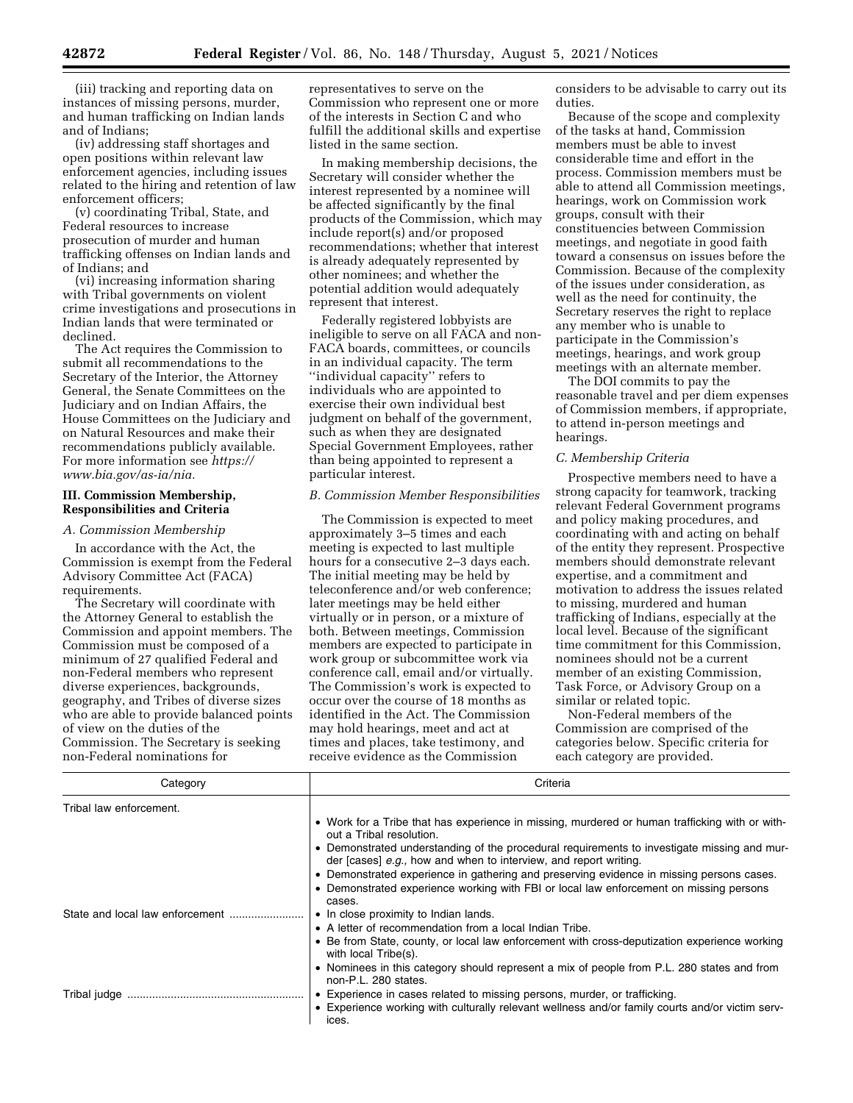(iii) tracking and reporting data on instances of missing persons, murder, and human trafficking on Indian lands and of Indians;

(iv) addressing staff shortages and open positions within relevant law enforcement agencies, including issues related to the hiring and retention of law enforcement officers;

(v) coordinating Tribal, State, and Federal resources to increase prosecution of murder and human trafficking offenses on Indian lands and of Indians; and

(vi) increasing information sharing with Tribal governments on violent crime investigations and prosecutions in Indian lands that were terminated or declined.

The Act requires the Commission to submit all recommendations to the Secretary of the Interior, the Attorney General, the Senate Committees on the Judiciary and on Indian Affairs, the House Committees on the Judiciary and on Natural Resources and make their recommendations publicly available. For more information see *[https://](https://www.bia.gov/as-ia/nia) [www.bia.gov/as-ia/nia.](https://www.bia.gov/as-ia/nia)* 

# **III. Commission Membership, Responsibilities and Criteria**

### *A. Commission Membership*

In accordance with the Act, the Commission is exempt from the Federal Advisory Committee Act (FACA) requirements.

The Secretary will coordinate with the Attorney General to establish the Commission and appoint members. The Commission must be composed of a minimum of 27 qualified Federal and non-Federal members who represent diverse experiences, backgrounds, geography, and Tribes of diverse sizes who are able to provide balanced points of view on the duties of the Commission. The Secretary is seeking non-Federal nominations for

representatives to serve on the Commission who represent one or more of the interests in Section C and who fulfill the additional skills and expertise listed in the same section.

In making membership decisions, the Secretary will consider whether the interest represented by a nominee will be affected significantly by the final products of the Commission, which may include report(s) and/or proposed recommendations; whether that interest is already adequately represented by other nominees; and whether the potential addition would adequately represent that interest.

Federally registered lobbyists are ineligible to serve on all FACA and non-FACA boards, committees, or councils in an individual capacity. The term ''individual capacity'' refers to individuals who are appointed to exercise their own individual best judgment on behalf of the government, such as when they are designated Special Government Employees, rather than being appointed to represent a particular interest.

# *B. Commission Member Responsibilities*

The Commission is expected to meet approximately 3–5 times and each meeting is expected to last multiple hours for a consecutive 2–3 days each. The initial meeting may be held by teleconference and/or web conference; later meetings may be held either virtually or in person, or a mixture of both. Between meetings, Commission members are expected to participate in work group or subcommittee work via conference call, email and/or virtually. The Commission's work is expected to occur over the course of 18 months as identified in the Act. The Commission may hold hearings, meet and act at times and places, take testimony, and receive evidence as the Commission

considers to be advisable to carry out its duties.

Because of the scope and complexity of the tasks at hand, Commission members must be able to invest considerable time and effort in the process. Commission members must be able to attend all Commission meetings, hearings, work on Commission work groups, consult with their constituencies between Commission meetings, and negotiate in good faith toward a consensus on issues before the Commission. Because of the complexity of the issues under consideration, as well as the need for continuity, the Secretary reserves the right to replace any member who is unable to participate in the Commission's meetings, hearings, and work group meetings with an alternate member.

The DOI commits to pay the reasonable travel and per diem expenses of Commission members, if appropriate, to attend in-person meetings and hearings.

### *C. Membership Criteria*

Prospective members need to have a strong capacity for teamwork, tracking relevant Federal Government programs and policy making procedures, and coordinating with and acting on behalf of the entity they represent. Prospective members should demonstrate relevant expertise, and a commitment and motivation to address the issues related to missing, murdered and human trafficking of Indians, especially at the local level. Because of the significant time commitment for this Commission, nominees should not be a current member of an existing Commission, Task Force, or Advisory Group on a similar or related topic.

Non-Federal members of the Commission are comprised of the categories below. Specific criteria for each category are provided.

| Category                | Criteria                                                                                                                                                        |
|-------------------------|-----------------------------------------------------------------------------------------------------------------------------------------------------------------|
| Tribal law enforcement. |                                                                                                                                                                 |
|                         | • Work for a Tribe that has experience in missing, murdered or human trafficking with or with-<br>out a Tribal resolution.                                      |
|                         | • Demonstrated understanding of the procedural requirements to investigate missing and mur-<br>der [cases] e.g., how and when to interview, and report writing. |
|                         | • Demonstrated experience in gathering and preserving evidence in missing persons cases.                                                                        |
|                         | • Demonstrated experience working with FBI or local law enforcement on missing persons<br>cases.                                                                |
|                         | • In close proximity to Indian lands.                                                                                                                           |
|                         | • A letter of recommendation from a local Indian Tribe.                                                                                                         |
|                         | • Be from State, county, or local law enforcement with cross-deputization experience working<br>with local Tribe(s).                                            |
|                         | • Nominees in this category should represent a mix of people from P.L. 280 states and from<br>non-P.L. 280 states.                                              |
|                         | • Experience in cases related to missing persons, murder, or trafficking.                                                                                       |
|                         | • Experience working with culturally relevant wellness and/or family courts and/or victim serv-<br>ices.                                                        |